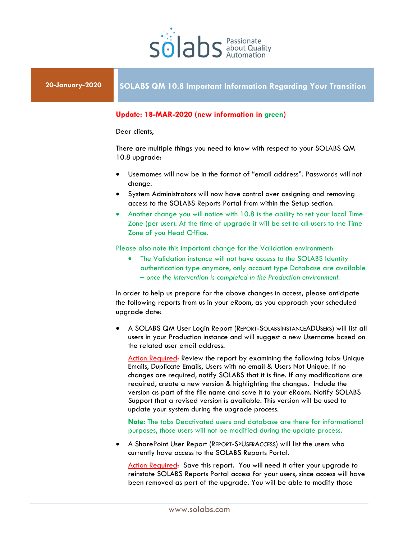

## **Update: 18-MAR-2020 (new information in green)**

Dear clients,

There are multiple things you need to know with respect to your SOLABS QM 10.8 upgrade:

- Usernames will now be in the format of "email address". Passwords will not change.
- System Administrators will now have control over assigning and removing access to the SOLABS Reports Portal from within the Setup section.
- Another change you will notice with 10.8 is the ability to set your local Time Zone (per user). At the time of upgrade it will be set to all users to the Time Zone of you Head Office.

Please also note this important change for the Validation environment:

 The Validation instance will not have access to the SOLABS Identity authentication type anymore, only account type Database are available – *once the intervention is completed in the Production environment*.

In order to help us prepare for the above changes in access, please anticipate the following reports from us in your eRoom, as you approach your scheduled upgrade date:

 A SOLABS QM User Login Report (REPORT-SOLABSINSTANCEADUSERS) will list all users in your Production instance and will suggest a new Username based on the related user email address.

Action Required: Review the report by examining the following tabs: Unique Emails, Duplicate Emails, Users with no email & Users Not Unique. If no changes are required, notify SOLABS that it is fine. If any modifications are required, create a new version & highlighting the changes. Include the version as part of the file name and save it to your eRoom. Notify SOLABS Support that a revised version is available. This version will be used to update your system during the upgrade process.

**Note:** The tabs Deactivated users and database are there for informational purposes, those users will not be modified during the update process.

 A SharePoint User Report (REPORT-SPUSERACCESS) will list the users who currently have access to the SOLABS Reports Portal.

Action Required: Save this report. You will need it after your upgrade to reinstate SOLABS Reports Portal access for your users, since access will have been removed as part of the upgrade. You will be able to modify those